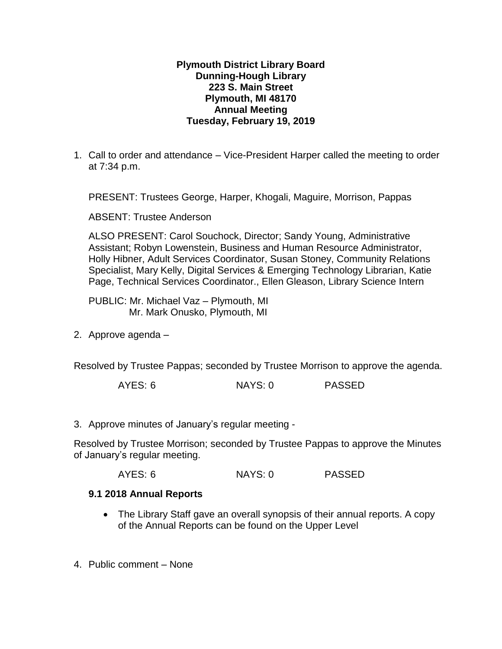## **Plymouth District Library Board Dunning-Hough Library 223 S. Main Street Plymouth, MI 48170 Annual Meeting Tuesday, February 19, 2019**

1. Call to order and attendance – Vice-President Harper called the meeting to order at 7:34 p.m.

PRESENT: Trustees George, Harper, Khogali, Maguire, Morrison, Pappas

ABSENT: Trustee Anderson

ALSO PRESENT: Carol Souchock, Director; Sandy Young, Administrative Assistant; Robyn Lowenstein, Business and Human Resource Administrator, Holly Hibner, Adult Services Coordinator, Susan Stoney, Community Relations Specialist, Mary Kelly, Digital Services & Emerging Technology Librarian, Katie Page, Technical Services Coordinator., Ellen Gleason, Library Science Intern

PUBLIC: Mr. Michael Vaz – Plymouth, MI Mr. Mark Onusko, Plymouth, MI

2. Approve agenda –

Resolved by Trustee Pappas; seconded by Trustee Morrison to approve the agenda.

AYES: 6 NAYS: 0 PASSED

3. Approve minutes of January's regular meeting -

Resolved by Trustee Morrison; seconded by Trustee Pappas to approve the Minutes of January's regular meeting.

AYES: 6 NAYS: 0 PASSED

## **9.1 2018 Annual Reports**

- The Library Staff gave an overall synopsis of their annual reports. A copy of the Annual Reports can be found on the Upper Level
- 4. Public comment None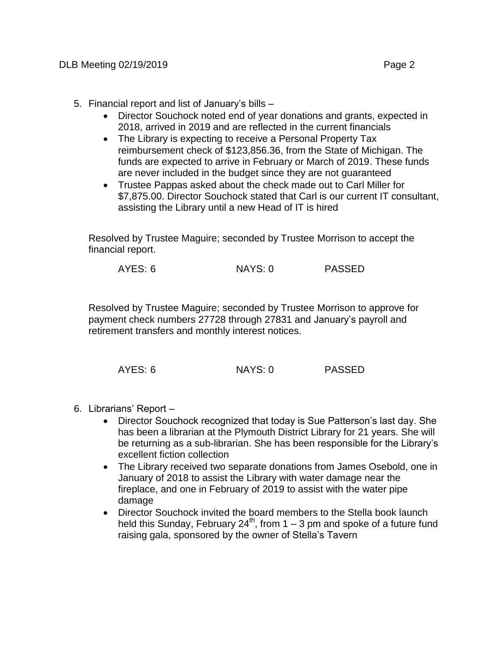- 5. Financial report and list of January's bills
	- Director Souchock noted end of year donations and grants, expected in 2018, arrived in 2019 and are reflected in the current financials
	- The Library is expecting to receive a Personal Property Tax reimbursement check of \$123,856.36, from the State of Michigan. The funds are expected to arrive in February or March of 2019. These funds are never included in the budget since they are not guaranteed
	- Trustee Pappas asked about the check made out to Carl Miller for \$7,875.00. Director Souchock stated that Carl is our current IT consultant, assisting the Library until a new Head of IT is hired

Resolved by Trustee Maguire; seconded by Trustee Morrison to accept the financial report.

Resolved by Trustee Maguire; seconded by Trustee Morrison to approve for payment check numbers 27728 through 27831 and January's payroll and retirement transfers and monthly interest notices.

| AYES: 6 | NAYS: 0 | <b>PASSED</b> |
|---------|---------|---------------|
|         |         |               |

- 6. Librarians' Report
	- Director Souchock recognized that today is Sue Patterson's last day. She has been a librarian at the Plymouth District Library for 21 years. She will be returning as a sub-librarian. She has been responsible for the Library's excellent fiction collection
	- The Library received two separate donations from James Osebold, one in January of 2018 to assist the Library with water damage near the fireplace, and one in February of 2019 to assist with the water pipe damage
	- Director Souchock invited the board members to the Stella book launch held this Sunday, February 24<sup>th</sup>, from 1 – 3 pm and spoke of a future fund raising gala, sponsored by the owner of Stella's Tavern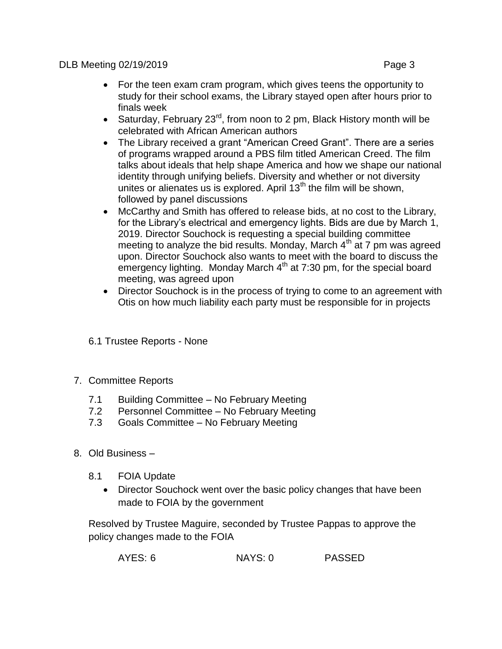DLB Meeting 02/19/2019 Page 3

- For the teen exam cram program, which gives teens the opportunity to study for their school exams, the Library stayed open after hours prior to finals week
- Saturday, February 23<sup>rd</sup>, from noon to 2 pm, Black History month will be celebrated with African American authors
- The Library received a grant "American Creed Grant". There are a series of programs wrapped around a PBS film titled American Creed. The film talks about ideals that help shape America and how we shape our national identity through unifying beliefs. Diversity and whether or not diversity unites or alienates us is explored. April  $13<sup>th</sup>$  the film will be shown, followed by panel discussions
- McCarthy and Smith has offered to release bids, at no cost to the Library, for the Library's electrical and emergency lights. Bids are due by March 1, 2019. Director Souchock is requesting a special building committee meeting to analyze the bid results. Monday, March  $4<sup>th</sup>$  at 7 pm was agreed upon. Director Souchock also wants to meet with the board to discuss the emergency lighting. Monday March 4<sup>th</sup> at 7:30 pm, for the special board meeting, was agreed upon
- Director Souchock is in the process of trying to come to an agreement with Otis on how much liability each party must be responsible for in projects
- 6.1 Trustee Reports None
- 7. Committee Reports
	- 7.1 Building Committee No February Meeting<br>7.2 Personnel Committee No February Meetin
	- Personnel Committee No February Meeting
	- 7.3 Goals Committee No February Meeting
- 8. Old Business
	- 8.1 FOIA Update
		- Director Souchock went over the basic policy changes that have been made to FOIA by the government

Resolved by Trustee Maguire, seconded by Trustee Pappas to approve the policy changes made to the FOIA

| AYES: 6 | <b>PASSED</b><br>NAYS: 0 |
|---------|--------------------------|
|---------|--------------------------|